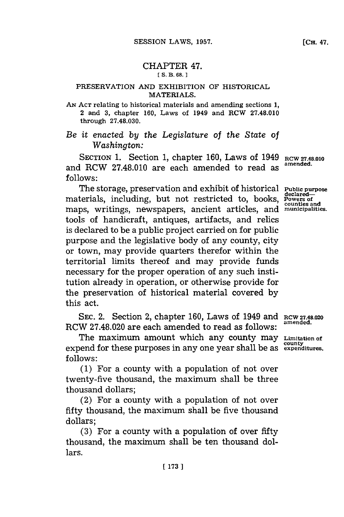## CHAPTER 47.

## **[ S. B. 68. 1**

## PRESERVATION **AND** EXHIBITION OF HISTORICAL MATERIALS.

**AN~ ACT** relating to historical materials and amending sections **1,** 2 and **3,** chapter **160,** Laws of 1949 and RCW **27.48.010** through **27.48.030.**

*Be it enacted by the Legislature of the State of Washington:*

**SECTION 1.** Section **1,** chapter **160,** Laws of 1949 and RCW **27.48.010** are each amended to read as **follows:**

The storage, preservation and exhibit of historical **Public purpose** materials, including, but not restricted to, books, materians, meridian<sub>ts</sub>, but not restricted to, books, counties and<br>maps, writings, newspapers, ancient articles, and municipalities tools of handicraft, antiques, artifacts, and relics is declared to be a public project carried on for public purpose and the legislative body of any county, city or town, may provide quarters therefor within the territorial limits thereof and may provide funds necessary for the proper operation of any such institution already in operation, or otherwise provide **for** the preservation of historical material covered **by** this act. **Powers of**

**SEC.** 2. Section 2, chapter **160,** Laws of 1949 and **RCW 27.48.020** RCW **27.48.020** are each amended to read as follows: **amended.**

The maximum amount which any county may **Limitation of** expend for these purposes in any one year shall be as expenditures. **follows:**

**(1)** For a county with a population of not over twenty-five thousand, the maximum shall be three thousand dollars;

(2) For a county with a population of not over fifty thousand, the maximum shall be five thousand dollars;

**(3)** For a county with a population of over fifty thousand, the maximum shall be ten thousand dollars.

**[ 173 ]**

**ROW 27.48.010 amended.**